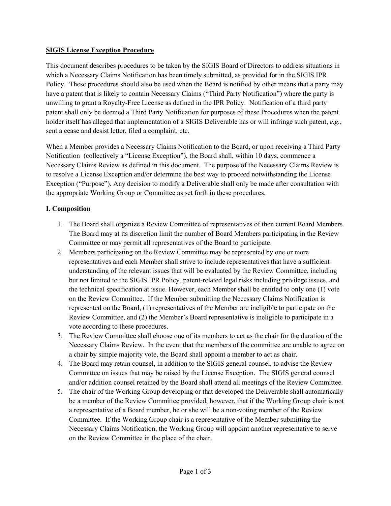## **SIGIS License Exception Procedure**

This document describes procedures to be taken by the SIGIS Board of Directors to address situations in which a Necessary Claims Notification has been timely submitted, as provided for in the SIGIS IPR Policy. These procedures should also be used when the Board is notified by other means that a party may have a patent that is likely to contain Necessary Claims ("Third Party Notification") where the party is unwilling to grant a Royalty-Free License as defined in the IPR Policy. Notification of a third party patent shall only be deemed a Third Party Notification for purposes of these Procedures when the patent holder itself has alleged that implementation of a SIGIS Deliverable has or will infringe such patent, *e.g.*, sent a cease and desist letter, filed a complaint, etc.

When a Member provides a Necessary Claims Notification to the Board, or upon receiving a Third Party Notification (collectively a "License Exception"), the Board shall, within 10 days, commence a Necessary Claims Review as defined in this document. The purpose of the Necessary Claims Review is to resolve a License Exception and/or determine the best way to proceed notwithstanding the License Exception ("Purpose"). Any decision to modify a Deliverable shall only be made after consultation with the appropriate Working Group or Committee as set forth in these procedures.

## **I. Composition**

- 1. The Board shall organize a Review Committee of representatives of then current Board Members. The Board may at its discretion limit the number of Board Members participating in the Review Committee or may permit all representatives of the Board to participate.
- 2. Members participating on the Review Committee may be represented by one or more representatives and each Member shall strive to include representatives that have a sufficient understanding of the relevant issues that will be evaluated by the Review Committee, including but not limited to the SIGIS IPR Policy, patent-related legal risks including privilege issues, and the technical specification at issue. However, each Member shall be entitled to only one (1) vote on the Review Committee. If the Member submitting the Necessary Claims Notification is represented on the Board, (1) representatives of the Member are ineligible to participate on the Review Committee, and (2) the Member's Board representative is ineligible to participate in a vote according to these procedures.
- 3. The Review Committee shall choose one of its members to act as the chair for the duration of the Necessary Claims Review. In the event that the members of the committee are unable to agree on a chair by simple majority vote, the Board shall appoint a member to act as chair.
- 4. The Board may retain counsel, in addition to the SIGIS general counsel, to advise the Review Committee on issues that may be raised by the License Exception. The SIGIS general counsel and/or addition counsel retained by the Board shall attend all meetings of the Review Committee.
- 5. The chair of the Working Group developing or that developed the Deliverable shall automatically be a member of the Review Committee provided, however, that if the Working Group chair is not a representative of a Board member, he or she will be a non-voting member of the Review Committee. If the Working Group chair is a representative of the Member submitting the Necessary Claims Notification, the Working Group will appoint another representative to serve on the Review Committee in the place of the chair.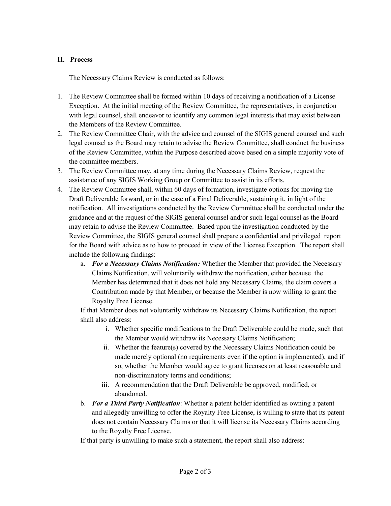## **II. Process**

The Necessary Claims Review is conducted as follows:

- 1. The Review Committee shall be formed within 10 days of receiving a notification of a License Exception. At the initial meeting of the Review Committee, the representatives, in conjunction with legal counsel, shall endeavor to identify any common legal interests that may exist between the Members of the Review Committee.
- 2. The Review Committee Chair, with the advice and counsel of the SIGIS general counsel and such legal counsel as the Board may retain to advise the Review Committee, shall conduct the business of the Review Committee, within the Purpose described above based on a simple majority vote of the committee members.
- 3. The Review Committee may, at any time during the Necessary Claims Review, request the assistance of any SIGIS Working Group or Committee to assist in its efforts.
- 4. The Review Committee shall, within 60 days of formation, investigate options for moving the Draft Deliverable forward, or in the case of a Final Deliverable, sustaining it, in light of the notification. All investigations conducted by the Review Committee shall be conducted under the guidance and at the request of the SIGIS general counsel and/or such legal counsel as the Board may retain to advise the Review Committee. Based upon the investigation conducted by the Review Committee, the SIGIS general counsel shall prepare a confidential and privileged report for the Board with advice as to how to proceed in view of the License Exception. The report shall include the following findings:
	- a. *For a Necessary Claims Notification:* Whether the Member that provided the Necessary Claims Notification, will voluntarily withdraw the notification, either because the Member has determined that it does not hold any Necessary Claims, the claim covers a Contribution made by that Member, or because the Member is now willing to grant the Royalty Free License.

If that Member does not voluntarily withdraw its Necessary Claims Notification, the report shall also address:

- i. Whether specific modifications to the Draft Deliverable could be made, such that the Member would withdraw its Necessary Claims Notification;
- ii. Whether the feature(s) covered by the Necessary Claims Notification could be made merely optional (no requirements even if the option is implemented), and if so, whether the Member would agree to grant licenses on at least reasonable and non-discriminatory terms and conditions;
- iii. A recommendation that the Draft Deliverable be approved, modified, or abandoned.
- b. *For a Third Party Notification*: Whether a patent holder identified as owning a patent and allegedly unwilling to offer the Royalty Free License, is willing to state that its patent does not contain Necessary Claims or that it will license its Necessary Claims according to the Royalty Free License.

If that party is unwilling to make such a statement, the report shall also address: